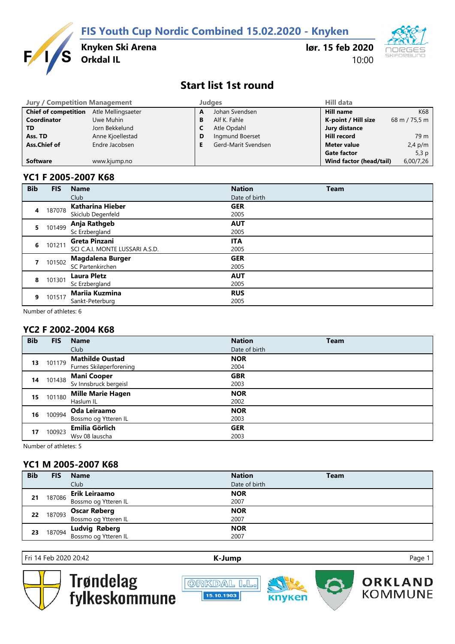**FIS Youth Cup Nordic Combined 15.02.2020 - Knyken**



**Knyken Ski Arena**

**lør. 15 feb 2020** 10:00



## **Start list 1st round**

| <b>Jury / Competition Management</b> |                    |   | <b>Judges</b>       | <b>Hill data</b>        |               |
|--------------------------------------|--------------------|---|---------------------|-------------------------|---------------|
| <b>Chief of competition</b>          | Atle Mellingsaeter | A | Johan Svendsen      | <b>Hill name</b>        | K68           |
| <b>Coordinator</b>                   | Uwe Muhin          | В | Alf K. Fahle        | K-point / Hill size     | 68 m / 75,5 m |
| <b>TD</b>                            | Jorn Bekkelund     |   | Atle Opdahl         | Jury distance           |               |
| Ass. TD                              | Anne Kjoellestad   | D | Ingmund Boerset     | <b>Hill record</b>      | 79 m          |
| Ass.Chief of                         | Endre Jacobsen     |   | Gerd-Marit Svendsen | Meter value             | $2,4$ p/m     |
|                                      |                    |   |                     | <b>Gate factor</b>      | 5,3 $p$       |
| <b>Software</b>                      | www.kjump.no       |   |                     | Wind factor (head/tail) | 6,00/7,26     |

### **YC1 F 2005-2007 K68**

| <b>Bib</b> | <b>FIS</b> | <b>Name</b>                                      | <b>Nation</b>      | <b>Team</b> |
|------------|------------|--------------------------------------------------|--------------------|-------------|
|            |            | Club                                             | Date of birth      |             |
| 4          | 187078     | <b>Katharina Hieber</b><br>Skiclub Degenfeld     | <b>GER</b><br>2005 |             |
| 5.         | 101499     | Anja Rathgeb<br>Sc Erzbergland                   | <b>AUT</b><br>2005 |             |
| 6          | 101211     | Greta Pinzani<br>SCI C.A.I. MONTE LUSSARI A.S.D. | <b>ITA</b><br>2005 |             |
|            | 101502     | Magdalena Burger<br>SC Partenkirchen             | <b>GER</b><br>2005 |             |
| 8          | 101301     | <b>Laura Pletz</b><br>Sc Erzbergland             | <b>AUT</b><br>2005 |             |
| 9          | 101517     | <b>Mariia Kuzmina</b><br>Sankt-Peterburg         | <b>RUS</b><br>2005 |             |

Number of athletes: 6

### **YC2 F 2002-2004 K68**

| <b>Bib</b> | <b>FIS</b> | <b>Name</b>              | <b>Nation</b> | <b>Team</b> |
|------------|------------|--------------------------|---------------|-------------|
|            |            | Club                     | Date of birth |             |
| 13         | 101179     | <b>Mathilde Oustad</b>   | <b>NOR</b>    |             |
|            |            | Furnes Skiløperforening  | 2004          |             |
| 14         | 101438     | <b>Mani Cooper</b>       | <b>GBR</b>    |             |
|            |            | Sv Innsbruck bergeisl    | 2003          |             |
|            | 101180     | <b>Mille Marie Hagen</b> | <b>NOR</b>    |             |
| 15         |            | Haslum IL                | 2002          |             |
| 16         | 100994     | Oda Leiraamo             | <b>NOR</b>    |             |
|            |            | Bossmo og Ytteren IL     | 2003          |             |
| 17         | 100923     | Emilia Görlich           | <b>GER</b>    |             |
|            |            | Wsv 08 lauscha           | 2003          |             |

Number of athletes: 5

### **YC1 M 2005-2007 K68**

| <b>Bib</b> | <b>FIS</b> | <b>Name</b>                                  | <b>Nation</b> | <b>Team</b> |
|------------|------------|----------------------------------------------|---------------|-------------|
|            |            | Club                                         | Date of birth |             |
|            |            | Erik Leiraamo                                | <b>NOR</b>    |             |
| 21         | 187086     | Bossmo og Ytteren IL                         | 2007          |             |
| 22         | 187093     |                                              | <b>NOR</b>    |             |
|            |            | <b>Oscar Røberg</b><br>Bossmo og Ytteren IL  | 2007          |             |
| 23         | 187094     | <b>Ludvig Røberg</b><br>Bossmo og Ytteren IL | <b>NOR</b>    |             |
|            |            |                                              | 2007          |             |

Fri 14 Feb 2020 20:42 **[K-J](http://kjump.no/)ump** Page 1



Trøndelag<br>fylkeskommune





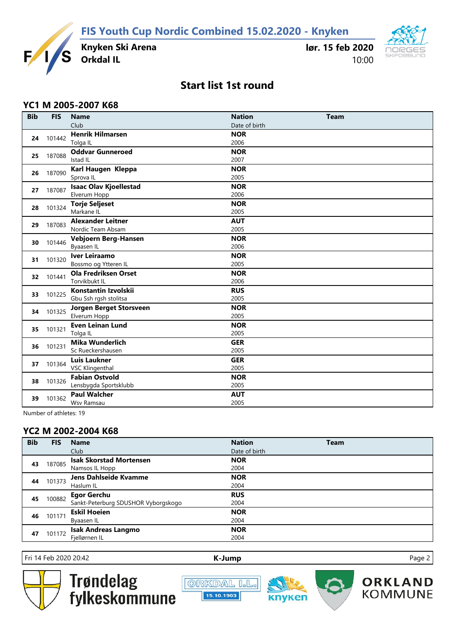**FIS Youth Cup Nordic Combined 15.02.2020 - Knyken**



**Knyken Ski Arena**

**lør. 15 feb 2020** 10:00



# **Start list 1st round**

### **YC1 M 2005-2007 K68**

| <b>Bib</b> | <b>FIS</b> | <b>Name</b>                   | <b>Nation</b> | <b>Team</b> |
|------------|------------|-------------------------------|---------------|-------------|
|            |            | Club                          | Date of birth |             |
| 24         | 101442     | <b>Henrik Hilmarsen</b>       | <b>NOR</b>    |             |
|            |            | Tolga IL                      | 2006          |             |
|            | 187088     | <b>Oddvar Gunneroed</b>       | <b>NOR</b>    |             |
| 25         |            | Istad IL                      | 2007          |             |
| 26         | 187090     | Karl Haugen Kleppa            | <b>NOR</b>    |             |
|            |            | Sprova IL                     | 2005          |             |
| 27         | 187087     | <b>Isaac Olav Kjoellestad</b> | <b>NOR</b>    |             |
|            |            | Elverum Hopp                  | 2006          |             |
| 28         | 101324     | <b>Torje Seljeset</b>         | <b>NOR</b>    |             |
|            |            | Markane IL                    | 2005          |             |
| 29         | 187083     | <b>Alexander Leitner</b>      | <b>AUT</b>    |             |
|            |            | Nordic Team Absam             | 2005          |             |
| 30         | 101446     | Vebjoern Berg-Hansen          | <b>NOR</b>    |             |
|            |            | Byaasen IL                    | 2006          |             |
| 31         | 101320     | <b>Iver Leiraamo</b>          | <b>NOR</b>    |             |
|            |            | Bossmo og Ytteren IL          | 2005          |             |
| 32         | 101441     | <b>Ola Fredriksen Orset</b>   | <b>NOR</b>    |             |
|            |            | Torvikbukt IL                 | 2006          |             |
| 33         | 101225     | Konstantin Izvolskii          | <b>RUS</b>    |             |
|            |            | Gbu Ssh rgsh stolitsa         | 2005          |             |
| 34         | 101325     | Jorgen Berget Storsveen       | <b>NOR</b>    |             |
|            |            | Elverum Hopp                  | 2005          |             |
| 35         | 101321     | <b>Even Leinan Lund</b>       | <b>NOR</b>    |             |
|            |            | Tolga IL                      | 2005          |             |
| 36         | 101231     | <b>Mika Wunderlich</b>        | <b>GER</b>    |             |
|            |            | Sc Rueckershausen             | 2005          |             |
| 37         |            | <b>Luis Laukner</b>           | <b>GER</b>    |             |
|            | 101364     | <b>VSC Klingenthal</b>        | 2005          |             |
| 38         | 101326     | <b>Fabian Ostvold</b>         | <b>NOR</b>    |             |
|            |            | Lensbygda Sportsklubb         | 2005          |             |
|            | 101362     | <b>Paul Walcher</b>           | <b>AUT</b>    |             |
| 39         |            | Wsv Ramsau                    | 2005          |             |

Number of athletes: 19

### **YC2 M 2002-2004 K68**

| <b>Bib</b> | <b>FIS</b> | <b>Name</b>                         | <b>Nation</b> | <b>Team</b> |
|------------|------------|-------------------------------------|---------------|-------------|
|            |            | Club                                | Date of birth |             |
|            |            | <b>Isak Skorstad Mortensen</b>      | <b>NOR</b>    |             |
| 43         | 187085     | Namsos IL Hopp                      | 2004          |             |
| 44         | 101373     | Jens Dahlseide Kvamme               | <b>NOR</b>    |             |
|            |            | Haslum IL                           | 2004          |             |
| 45         | 100882     | <b>Egor Gerchu</b>                  | <b>RUS</b>    |             |
|            |            | Sankt-Peterburg SDUSHOR Vyborgskogo | 2004          |             |
| 46         | 101171     | <b>Eskil Hoeien</b>                 | <b>NOR</b>    |             |
|            |            | Byaasen IL                          | 2004          |             |
| 47         | 101172     | <b>Isak Andreas Langmo</b>          | <b>NOR</b>    |             |
|            |            | Fjellørnen IL                       | 2004          |             |

Fri 14 Feb 2020 20:42 **[K-J](http://kjump.no/)ump** Page 2



Trøndelag<br>fylkeskommune